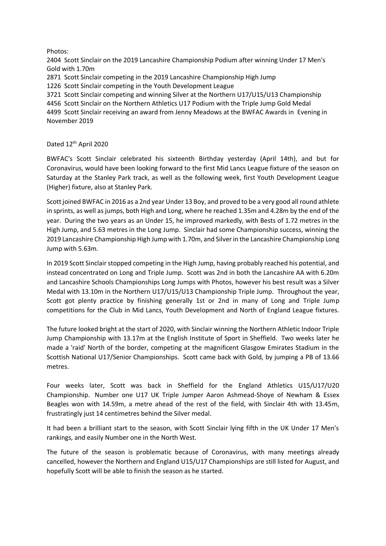Photos:

2404 Scott Sinclair on the 2019 Lancashire Championship Podium after winning Under 17 Men's Gold with 1.70m

2871 Scott Sinclair competing in the 2019 Lancashire Championship High Jump

1226 Scott Sinclair competing in the Youth Development League

3721 Scott Sinclair competing and winning Silver at the Northern U17/U15/U13 Championship

4456 Scott Sinclair on the Northern Athletics U17 Podium with the Triple Jump Gold Medal

4499 Scott Sinclair receiving an award from Jenny Meadows at the BWFAC Awards in Evening in November 2019

Dated 12<sup>th</sup> April 2020

BWFAC's Scott Sinclair celebrated his sixteenth Birthday yesterday (April 14th), and but for Coronavirus, would have been looking forward to the first Mid Lancs League fixture of the season on Saturday at the Stanley Park track, as well as the following week, first Youth Development League (Higher) fixture, also at Stanley Park.

Scott joined BWFAC in 2016 as a 2nd year Under 13 Boy, and proved to be a very good all round athlete in sprints, as well as jumps, both High and Long, where he reached 1.35m and 4.28m by the end of the year. During the two years as an Under 15, he improved markedly, with Bests of 1.72 metres in the High Jump, and 5.63 metres in the Long Jump. Sinclair had some Championship success, winning the 2019 Lancashire Championship High Jump with 1.70m, and Silver in the Lancashire Championship Long Jump with 5.63m.

In 2019 Scott Sinclair stopped competing in the High Jump, having probably reached his potential, and instead concentrated on Long and Triple Jump. Scott was 2nd in both the Lancashire AA with 6.20m and Lancashire Schools Championships Long Jumps with Photos, however his best result was a Silver Medal with 13.10m in the Northern U17/U15/U13 Championship Triple Jump. Throughout the year, Scott got plenty practice by finishing generally 1st or 2nd in many of Long and Triple Jump competitions for the Club in Mid Lancs, Youth Development and North of England League fixtures.

The future looked bright at the start of 2020, with Sinclair winning the Northern Athletic Indoor Triple Jump Championship with 13.17m at the English Institute of Sport in Sheffield. Two weeks later he made a 'raid' North of the border, competing at the magnificent Glasgow Emirates Stadium in the Scottish National U17/Senior Championships. Scott came back with Gold, by jumping a PB of 13.66 metres.

Four weeks later, Scott was back in Sheffield for the England Athletics U15/U17/U20 Championship. Number one U17 UK Triple Jumper Aaron Ashmead-Shoye of Newham & Essex Beagles won with 14.59m, a metre ahead of the rest of the field, with Sinclair 4th with 13.45m, frustratingly just 14 centimetres behind the Silver medal.

It had been a brilliant start to the season, with Scott Sinclair lying fifth in the UK Under 17 Men's rankings, and easily Number one in the North West.

The future of the season is problematic because of Coronavirus, with many meetings already cancelled, however the Northern and England U15/U17 Championships are still listed for August, and hopefully Scott will be able to finish the season as he started.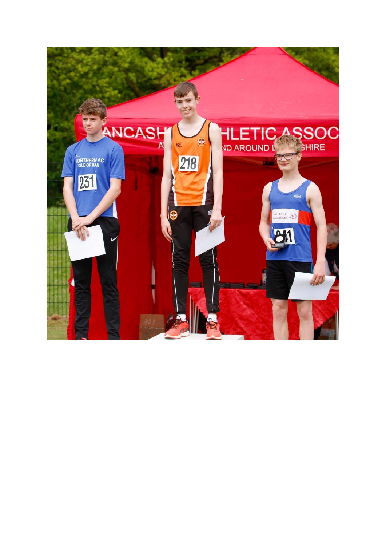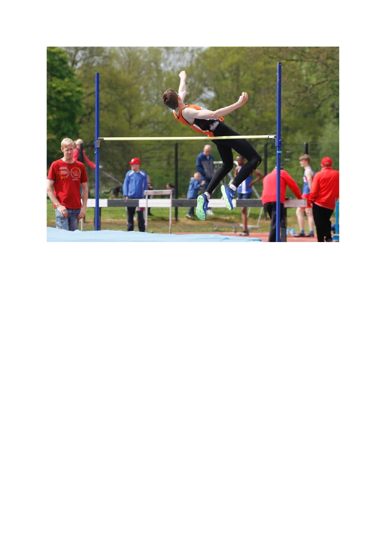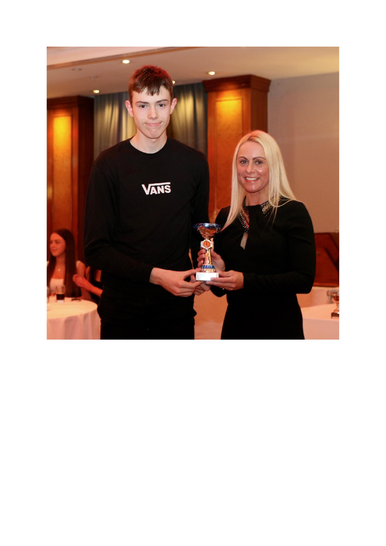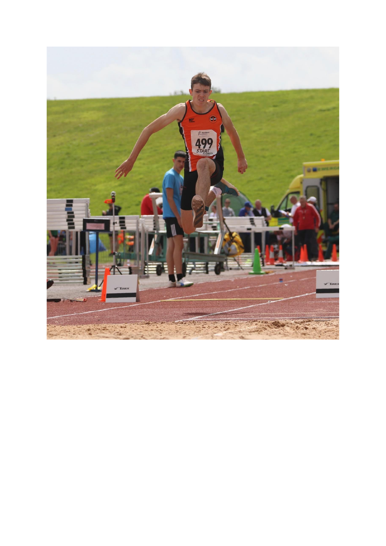